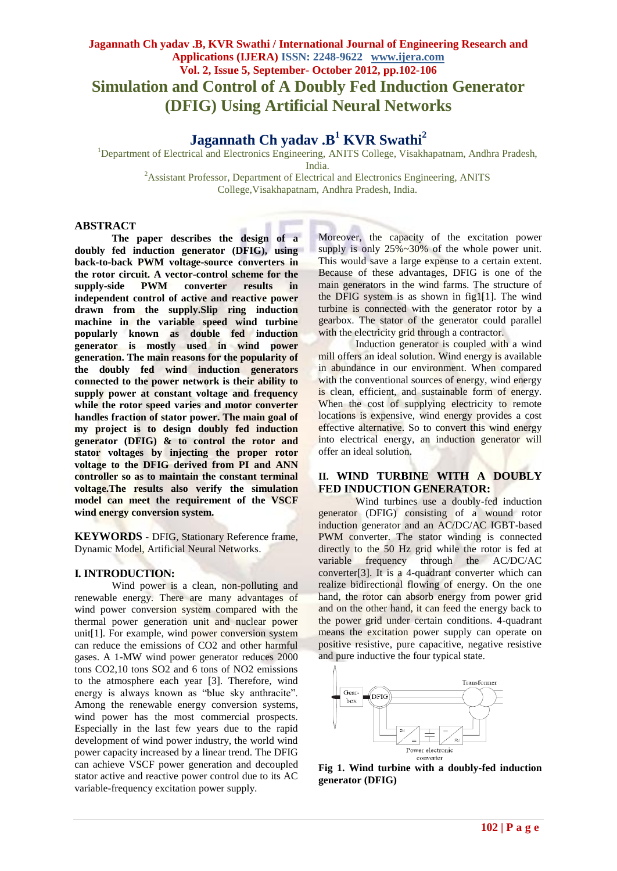## **Jagannath Ch yadav .B, KVR Swathi / International Journal of Engineering Research and Applications (IJERA) ISSN: 2248-9622 www.ijera.com Vol. 2, Issue 5, September- October 2012, pp.102-106 Simulation and Control of A Doubly Fed Induction Generator (DFIG) Using Artificial Neural Networks**

**Jagannath Ch yadav .B<sup>1</sup> KVR Swathi<sup>2</sup>**

<sup>1</sup>Department of Electrical and Electronics Engineering, ANITS College, Visakhapatnam, Andhra Pradesh, India.

> <sup>2</sup>Assistant Professor, Department of Electrical and Electronics Engineering, ANITS College,Visakhapatnam, Andhra Pradesh, India.

### **ABSTRACT**

**The paper describes the design of a doubly fed induction generator (DFIG), using back-to-back PWM voltage-source converters in the rotor circuit. A vector-control scheme for the supply-side PWM converter results in independent control of active and reactive power drawn from the supply.Slip ring induction machine in the variable speed wind turbine popularly known as double fed induction generator is mostly used in wind power generation. The main reasons for the popularity of the doubly fed wind induction generators connected to the power network is their ability to supply power at constant voltage and frequency while the rotor speed varies and motor converter handles fraction of stator power. The main goal of my project is to design doubly fed induction generator (DFIG) & to control the rotor and stator voltages by injecting the proper rotor voltage to the DFIG derived from PI and ANN controller so as to maintain the constant terminal voltage.The results also verify the simulation model can meet the requirement of the VSCF wind energy conversion system.**

**KEYWORDS** *-* DFIG, Stationary Reference frame, Dynamic Model, Artificial Neural Networks.

### **I. INTRODUCTION:**

Wind power is a clean, non-polluting and renewable energy. There are many advantages of wind power conversion system compared with the thermal power generation unit and nuclear power unit[1]. For example, wind power conversion system can reduce the emissions of CO2 and other harmful gases. A 1-MW wind power generator reduces 2000 tons CO2,10 tons SO2 and 6 tons of NO2 emissions to the atmosphere each year [3]. Therefore, wind energy is always known as "blue sky anthracite". Among the renewable energy conversion systems, wind power has the most commercial prospects. Especially in the last few years due to the rapid development of wind power industry, the world wind power capacity increased by a linear trend. The DFIG can achieve VSCF power generation and decoupled stator active and reactive power control due to its AC variable-frequency excitation power supply.

Moreover, the capacity of the excitation power supply is only 25%~30% of the whole power unit. This would save a large expense to a certain extent. Because of these advantages, DFIG is one of the main generators in the wind farms. The structure of the DFIG system is as shown in fig1[1]. The wind turbine is connected with the generator rotor by a gearbox. The stator of the generator could parallel with the electricity grid through a contractor.

Induction generator is coupled with a wind mill offers an ideal solution. Wind energy is available in abundance in our environment. When compared with the conventional sources of energy, wind energy is clean, efficient, and sustainable form of energy. When the cost of supplying electricity to remote locations is expensive, wind energy provides a cost effective alternative. So to convert this wind energy into electrical energy, an induction generator will offer an ideal solution.

### **II. WIND TURBINE WITH A DOUBLY FED INDUCTION GENERATOR:**

Wind turbines use a doubly-fed induction generator (DFIG) consisting of a wound rotor induction generator and an AC/DC/AC IGBT-based PWM converter. The stator winding is connected directly to the 50 Hz grid while the rotor is fed at variable frequency through the AC/DC/AC converter[3]. It is a 4-quadrant converter which can realize bidirectional flowing of energy. On the one hand, the rotor can absorb energy from power grid and on the other hand, it can feed the energy back to the power grid under certain conditions. 4-quadrant means the excitation power supply can operate on positive resistive, pure capacitive, negative resistive and pure inductive the four typical state.



**Fig 1. Wind turbine with a doubly-fed induction generator (DFIG)**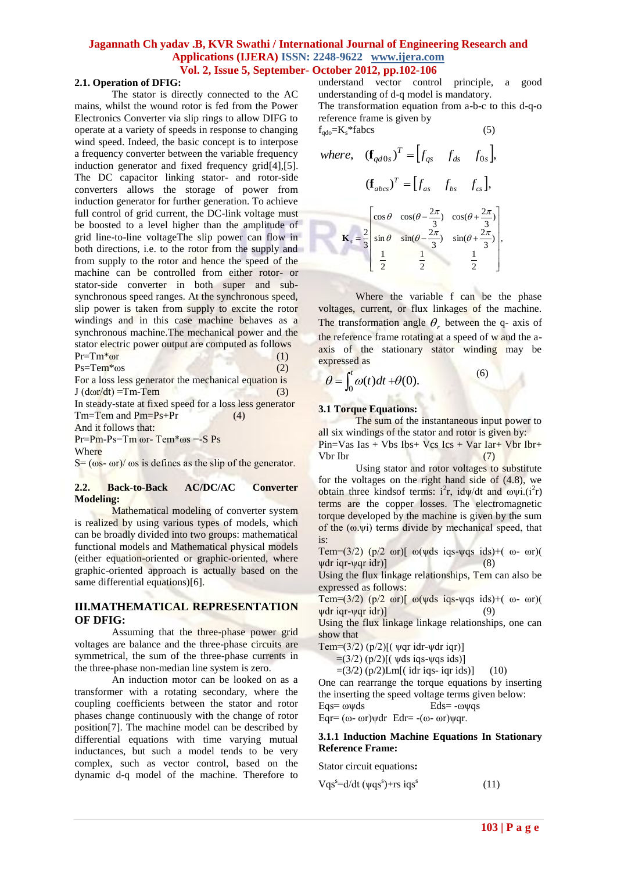#### **Jagannath Ch yadav .B, KVR Swathi / International Journal of Engineering Research and Applications (IJERA) ISSN: 2248-9622 www.ijera.com Vol. 2, Issue 5, September- October 2012, pp.102-106**

#### **2.1. Operation of DFIG:**

The stator is directly connected to the AC mains, whilst the wound rotor is fed from the Power Electronics Converter via slip rings to allow DIFG to operate at a variety of speeds in response to changing wind speed. Indeed, the basic concept is to interpose a frequency converter between the variable frequency induction generator and fixed frequency grid[4],[5]. The DC capacitor linking stator- and rotor-side converters allows the storage of power from induction generator for further generation. To achieve full control of grid current, the DC-link voltage must be boosted to a level higher than the amplitude of grid line-to-line voltageThe slip power can flow in both directions, i.e. to the rotor from the supply and from supply to the rotor and hence the speed of the machine can be controlled from either rotor- or stator-side converter in both super and subsynchronous speed ranges. At the synchronous speed, slip power is taken from supply to excite the rotor windings and in this case machine behaves as a synchronous machine.The mechanical power and the stator electric power output are computed as follows

 $Pr = Tm^* \omega r$  (1)  $Ps = Tem* \omega s$  (2)

For a loss less generator the mechanical equation is  $J$  (dor/dt) =Tm-Tem (3)

In steady-state at fixed speed for a loss less generator  $Tm = Tem$  and  $Pm = Ps + Pr$  (4)

And it follows that:

 $Pr=Pm-Ps=Tm$  ωr-  $Tem*$ ωs =-S  $Ps$ 

Where

 $S = (\omega s - \omega r)/\omega s$  is defines as the slip of the generator.

#### **2.2. Back-to-Back AC/DC/AC Converter Modeling:**

Mathematical modeling of converter system is realized by using various types of models, which can be broadly divided into two groups: mathematical functional models and Mathematical physical models (either equation-oriented or graphic-oriented, where graphic-oriented approach is actually based on the same differential equations)[6].

### **III.MATHEMATICAL REPRESENTATION OF DFIG:**

Assuming that the three-phase power grid voltages are balance and the three-phase circuits are symmetrical, the sum of the three-phase currents in the three-phase non-median line system is zero.

An induction motor can be looked on as a transformer with a rotating secondary, where the coupling coefficients between the stator and rotor phases change continuously with the change of rotor position[7]. The machine model can be described by differential equations with time varying mutual inductances, but such a model tends to be very complex, such as vector control, based on the dynamic d-q model of the machine. Therefore to understand vector control principle, a good understanding of d-q model is mandatory.

The transformation equation from a-b-c to this d-q-o reference frame is given by  $f_{\text{tot}}=K^*$ fabcs (5)

where, 
$$
(\mathbf{f}_{qdo}^T)^T = [f_{qs} \ f_{ds} \ f_{0s}],
$$
  
\n $(\mathbf{f}_{abcs})^T = [f_{as} \ f_{bs} \ f_{cs}],$   
\n $(\mathbf{f}_{abcs})^T = [f_{as} \ f_{bs} \ f_{cs}],$   
\n $\mathbf{K}_s = \frac{2}{3} \begin{bmatrix} \cos \theta & \cos(\theta - \frac{2\pi}{3}) & \cos(\theta + \frac{2\pi}{3}) \\ \sin \theta & \sin(\theta - \frac{2\pi}{3}) & \sin(\theta + \frac{2\pi}{3}) \\ \frac{1}{2} & \frac{1}{2} & \frac{1}{2} \end{bmatrix}$ 

Where the variable f can be the phase voltages, current, or flux linkages of the machine. The transformation angle  $\theta_r$  between the q- axis of the reference frame rotating at a speed of w and the aaxis of the stationary stator winding may be expressed as

$$
\theta = \int_0^t \omega(t)dt + \theta(0).
$$
 (6)

#### **3.1 Torque Equations:**

The sum of the instantaneous input power to all six windings of the stator and rotor is given by:  $Pin=Vas$  Ias + Vbs Ibs+ Vcs Ics + Var Iar + Vbr Ibr + Vbr Ibr (7)

Using stator and rotor voltages to substitute for the voltages on the right hand side of (4.8), we obtain three kindsof terms:  $i^{2}r$ , id $\psi$ /dt and  $\omega \psi i$ .  $(i^{2}r)$ terms are the copper losses. The electromagnetic torque developed by the machine is given by the sum of the  $(\omega,\psi)$  terms divide by mechanical speed, that is:

Tem=(3/2) ( $p/2$  ωr)[ ω( $\psi$ ds iqs- $\psi$ qs ids)+( ω- ωr)(  $\forall$  dr iqr- $\forall$ qr idr)] (8)

Using the flux linkage relationships, Tem can also be expressed as follows:

Tem= $(3/2)$  (p/2 ωr)[ ω(wds iqs-wqs ids)+( ω- ωr)(  $\psi$ dr iqr- $\psi$ qr idr)] (9)

Using the flux linkage linkage relationships, one can show that

Tem= $(3/2)$  (p/2)[(  $\psi$ qr idr- $\psi$ dr iqr)]

 $=(3/2)$  (p/2)[(  $\psi$ ds iqs- $\psi$ qs ids)]

 $=(3/2)$  (p/2)Lm[( idr iqs- iqr ids)] (10)

One can rearrange the torque equations by inserting the inserting the speed voltage terms given below:  $Eqs = \omega y ds$   $Eds = -\omega y qs$ 

Eqr= (ω- ωr)ψdr Edr= -(ω- ωr)ψqr.

### **3.1.1 Induction Machine Equations In Stationary Reference Frame:**

Stator circuit equations**:**

$$
Vqss=d/dt (wqss)+rs igss
$$
 (11)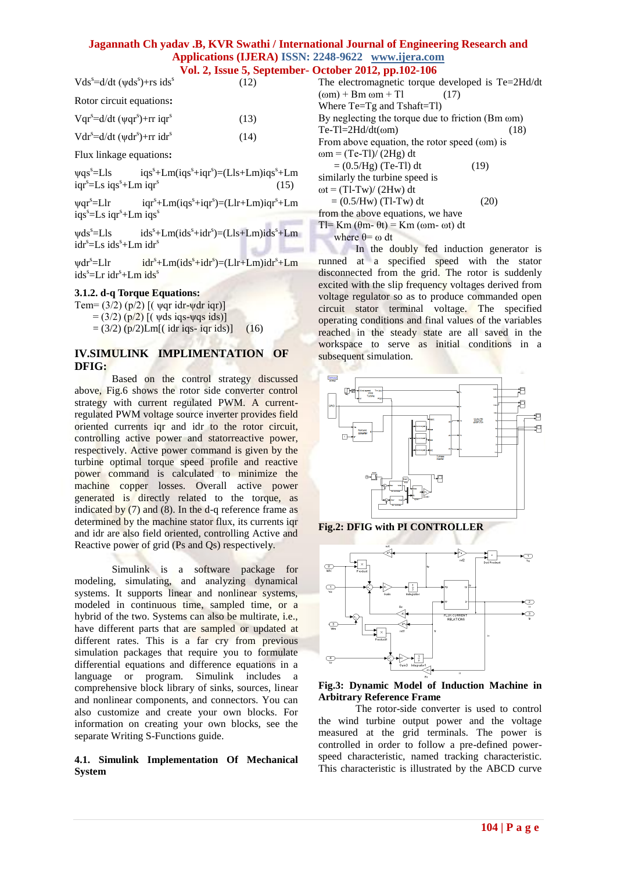# **Jagannath Ch yadav .B, KVR Swathi / International Journal of Engineering Research and Applications (IJERA) ISSN: 2248-9622 www.ijera.com**

## **Vol. 2, Issue 5, September- October 2012, pp.102-106**

| $Vdss=d/dt (wdss)+rs$ ids <sup>s</sup>                                   | (12) |
|--------------------------------------------------------------------------|------|
| Rotor circuit equations:                                                 |      |
| Vqr <sup>s</sup> = $d/dt$ ( $\psi$ qr <sup>s</sup> )+rr iqr <sup>s</sup> | (13) |
| $Vdrs=d/dt (v/drs)+rr idrs$                                              | (14) |
|                                                                          |      |

Flux linkage equations**:**

 $\psi$ qs<sup>s</sup>=Lls iqs<sup>s</sup>  $+Lm(igs<sup>s</sup>+iqr<sup>s</sup>) = (Lls+Lm)igs<sup>s</sup>+Lm$ iqr<sup>s</sup>=Ls iqs<sup>s</sup>+Lm iqr<sup>s</sup> (15)

 $\psi$ qr<sup>s</sup>=Llr iqr<sup>s</sup>  $+Lm(igs<sup>s</sup>+iqr<sup>s</sup>) = (Llr+Lm)iqr<sup>s</sup>+Lm$ iqs<sup>s</sup>=Ls iqr<sup>s</sup>+Lm iqs<sup>s</sup>

 $\psi ds^s = Lls$  ids<sup>s</sup>  $+Lmids<sup>s</sup>+idr<sup>s</sup>) = (Lls+Lm)ids<sup>s</sup>+Lm$ idr<sup>s</sup>=Ls ids<sup>s</sup>+Lm idr<sup>s</sup>

 $\psi dr^s = Llr$  idr<sup>s</sup>  $+Lm(ids<sup>s</sup>+idr<sup>s</sup>) = (Llr+Lm)idr<sup>s</sup>+Lm$ ids<sup>s</sup>=Lr idr<sup>s</sup>+Lm ids<sup>s</sup>

### **3.1.2. d-q Torque Equations:**

Tem=  $(3/2)$  (p/2) [(  $\psi$ qr idr- $\psi$ dr iqr)]  $= (3/2)$  (p/2) [(  $\psi$ ds iqs- $\psi$ qs ids)]  $= (3/2)$  (p/2)Lm[( idr iqs- iqr ids)] (16)

## **IV.SIMULINK IMPLIMENTATION OF DFIG:**

Based on the control strategy discussed above, Fig.6 shows the rotor side converter control strategy with current regulated PWM. A currentregulated PWM voltage source inverter provides field oriented currents iqr and idr to the rotor circuit, controlling active power and statorreactive power, respectively. Active power command is given by the turbine optimal torque speed profile and reactive power command is calculated to minimize the machine copper losses. Overall active power generated is directly related to the torque, as indicated by  $(7)$  and  $(8)$ . In the d-q reference frame as determined by the machine stator flux, its currents iqr and idr are also field oriented, controlling Active and Reactive power of grid (Ps and Qs) respectively.

Simulink is a software package for modeling, simulating, and analyzing dynamical systems. It supports linear and nonlinear systems, modeled in continuous time, sampled time, or a hybrid of the two. Systems can also be multirate, i.e., have different parts that are sampled or updated at different rates. This is a far cry from previous simulation packages that require you to formulate differential equations and difference equations in a language or program. Simulink includes a comprehensive block library of sinks, sources, linear and nonlinear components, and connectors. You can also customize and create your own blocks. For information on creating your own blocks, see the separate Writing S-Functions guide.

#### **4.1. Simulink Implementation Of Mechanical System**

| The electromagnetic torque developed is Te=2Hd/dt        |      |  |
|----------------------------------------------------------|------|--|
| $(\omega m)$ + Bm $\omega m$ + Tl<br>(17)                |      |  |
| Where $Te=Tg$ and $Tshaff=Tl$ )                          |      |  |
| By neglecting the torque due to friction $(Bm \omega m)$ |      |  |
| $Te-Tl=2Hd/dt(\omega m)$                                 | (18) |  |
| From above equation, the rotor speed $(\omega m)$ is     |      |  |
| $\omega$ m = (Te-Tl)/ (2Hg) dt                           |      |  |
| $= (0.5/Hg)$ (Te-Tl) dt                                  | (19) |  |
| similarly the turbine speed is                           |      |  |
| $\omega t = (Tl-Tw)/(2Hw) dt$                            |      |  |
| $= (0.5/Hw)$ (Tl-Tw) dt                                  |      |  |
| from the above equations, we have                        |      |  |

Tl= Km  $(\theta m - \theta t)$  = Km  $(\omega m - \omega t)$  dt

where  $\theta = \omega dt$ 

In the doubly fed induction generator is runned at a specified speed with the stator disconnected from the grid. The rotor is suddenly excited with the slip frequency voltages derived from voltage regulator so as to produce commanded open circuit stator terminal voltage. The specified operating conditions and final values of the variables reached in the steady state are all saved in the workspace to serve as initial conditions in a subsequent simulation.







#### **Fig.3: Dynamic Model of Induction Machine in Arbitrary Reference Frame**

The rotor-side converter is used to control the wind turbine output power and the voltage measured at the grid terminals. The power is controlled in order to follow a pre-defined powerspeed characteristic, named tracking characteristic. This characteristic is illustrated by the ABCD curve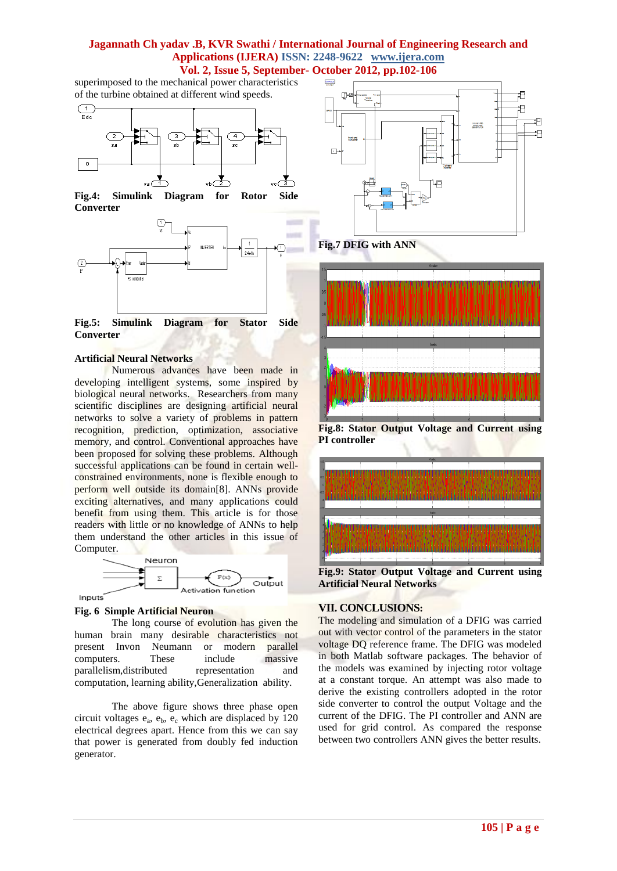#### **Jagannath Ch yadav .B, KVR Swathi / International Journal of Engineering Research and Applications (IJERA) ISSN: 2248-9622 www.ijera.com Vol. 2, Issue 5, September- October 2012, pp.102-106**

superimposed to the mechanical power characteristics of the turbine obtained at different wind speeds.



**Fig.4: Simulink Diagram for Rotor Side Converter**



**Fig.5: Simulink Diagram for Stator Side Converter**

#### **Artificial Neural Networks**

Numerous advances have been made in developing intelligent systems, some inspired by biological neural networks. Researchers from many scientific disciplines are designing artificial neural networks to solve a variety of problems in pattern recognition, prediction, optimization, associative memory, and control. Conventional approaches have been proposed for solving these problems. Although successful applications can be found in certain wellconstrained environments, none is flexible enough to perform well outside its domain[8]. ANNs provide exciting alternatives, and many applications could benefit from using them. This article is for those readers with little or no knowledge of ANNs to help them understand the other articles in this issue of Computer.



#### **Fig. 6 Simple Artificial Neuron**

The long course of evolution has given the human brain many desirable characteristics not present Invon Neumann or modern parallel computers. These include massive parallelism,distributed representation and computation, learning ability,Generalization ability.

The above figure shows three phase open circuit voltages  $e_a$ ,  $e_b$ ,  $e_c$  which are displaced by 120 electrical degrees apart. Hence from this we can say that power is generated from doubly fed induction generator.



**Fig.7 DFIG with ANN**



**Fig.8: Stator Output Voltage and Current using PI controller**



**Fig.9: Stator Output Voltage and Current using Artificial Neural Networks**

### **VII. CONCLUSIONS:**

The modeling and simulation of a DFIG was carried out with vector control of the parameters in the stator voltage DQ reference frame. The DFIG was modeled in both Matlab software packages. The behavior of the models was examined by injecting rotor voltage at a constant torque. An attempt was also made to derive the existing controllers adopted in the rotor side converter to control the output Voltage and the current of the DFIG. The PI controller and ANN are used for grid control. As compared the response between two controllers ANN gives the better results.